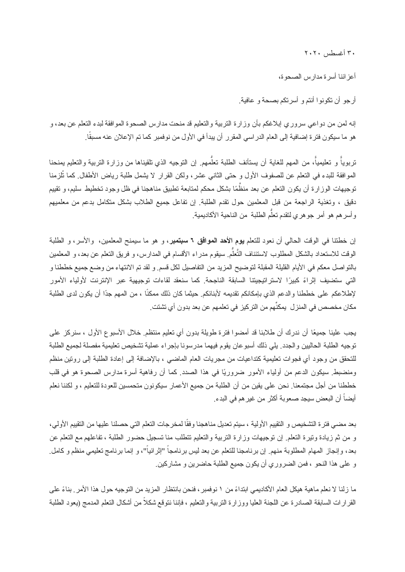٣٠ أغسطس ٢٠٢٠

أعزائنا أسرة مدارس الصحوة،

أرجو أن تكونوا أنتم و أسرتكم بصحة و عافیة.

إنه لمن من دواعي سروري إبلاغكم بأن وزارة التربیة والتعلیم قد منحت مدارس الصحوة الموافقة لبدء التعلم عن بعد، و هو ما سیكون فترة إضافیة إلى العام الدراسي المقرر أن یبدأ في الأول من نوفمبر كما تم الإعلان عنه مسبقًا.

تربوياً و تعليمياً، من المهم للغاية أن يستأنف الطلبة تعلُّمهم. إن التوجيه الذي تلقيناها من وزارة التربية والتعليم يمنحنا الموافقة للبدء في التعلم عن للصفوف الأول و حتى الثاني عشر، ولكن القرار لا یشمل طلبة ریاض الأطفال. كما تُلزمنا توجيهات الوزارة أن يكون التعلم عن بعد منظَّمًا بشكل محكم لمتابعة تطبيق مناهجنا في ظل وجود تخطيط سليم، و تقييم دقیق ، وتغذیة الراجعة من قبل المعلمین حول تقدم الطلبة. إن تفاعل جمیع الطلاب بشكل متكامل بدعم من معلمیهم وأسرهم هو أمر جوهري لتقدم تعلَّم الطلبة من الناحية الأكاديمية.

إن خطتنا في الوقت الحالي أن نعود للتعلم **یوم الأحد الموافق ٦ سبتمبر**، و هو ما سیمنح المعلمین، والأسر، و الطلبة الوقت للاستعداد بالشكل المطلوب لاستئناف التَّعلَّم سيقوم مدراء الأقسام في المدارس، و فريق التعلم عن بعد، و المعلمين بالتواصل معكم في الأیام القلیلة المقبلة لتوضیح المزید من التفاصیل لكل قسم. و لقد تم الانتهاء من وضع جمیع خططنا و التي ستضیف ً إثراء ً كبیرا لاستراتیجیتنا السابقة الناجحة. كما سنعقد لقاءات توجیهیة عبر الإنترنت لأولیاء الأمور لإطلاعكم على خططنا والدعم الذي بإمكانكم تقديمه لأبنائكم. حيثما كان ذلك ممكنًا ، من المهم جدًا أن يكون لدى الطلبة مكان مخصص في المنزل یمكنِّهم من التركیز في تعلمهم عن بعد بدون أي تشتت.

يجب علينا جميعًا أن ندرك أن طلابنا قد أمضوا فترة طويلة بدون أي تعليم منتظم. خلال الأسبوع الأول ، سنركز على توجیه الطلبة الحالیین والجدد. یلي ذلك أسبوعان یقوم فیهما مدرسونا بإجراء عملیة تشخیص تعلیمیة مفصلة لجمیع الطلبة للتحقق من وجود أي فجوات تعلیمیة كتداعیات من مجریات العام الماضي ، بالإضافة إلى إعادة الطلبة إلى روتین منظم ومنضبط. سیكون الدعم من أولیاء الأمور ضروریًا في هذا الصدد. كما أن رفاهیة أسرة مدارس الصحوة هو في قلب خططنا من أجل مجتمعنا. نحن على یقین من أن الطلبة من جمیع الأعمار سیكونون متحمسین للعودة للتعلیم ، و لكننا نعلم أيضاً أن البعض سيجد صعوبة أكثر من غير هم في البدء.

بعد مضـي فتر ة التشخيص و التقييم الأولية ، سيتم تعديل مناهجنا وفقًا لمخرجات التعلم التي حصلنا عليها من التقييم الأولي، و من ثم زیادة وتیرة التعلم. إن توجیهات وزارة التربیة والتعلیم تتطلب منا تسجیل حضور الطلبة ، تفاعلهم مع التعلم عن بعد، وإنجاز المهام المطلوبة منهم. إن برنامجنا للتعلم عن بعد ليس برنامجاً "إثرائياً"، و إنما برنامج تعليمي منظم و كامل. و على هذا النحو ، فمن الضروري أن یكون جمیع الطلبة حاضرین و مشاركین.

ما زلنا لا نعلم ماهية هيكل العام الأكاديمي ابتداءً من ١ نوفمبر ، فنحن بانتظار المزيد من التوجيه حول هذا الأمر . بناءً على القرارات السابقة الصادرة عن اللجنة العلیا ووزارة التربیة والتعلیم ، فإننا نتوقع شكلاً من أشكال التعلم المدمج (یعود الطلبة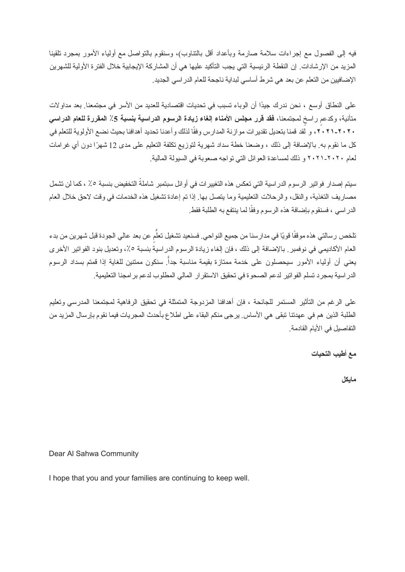فیه إلى الفصول مع إجراءات سلامة صارمة وبأعداد أقل بالتناوب)، وسنقوم بالتواصل مع أولیاء الأمور بمجرد تلقینا المزید من الإرشادات. إن النقطة الرئیسیة التي یجب التأكید علیها هي أن المشاركة الإیجابیة خلال الفترة الأولیة للشهرین الإضافیین من التعلم عن بعد هي شرط أساسي لبدایة ناجحة للعام الدراسي الجدید.

على النطاق أوسع ، نحن ندرك ًجیدا أن الوباء تسبب في تحدیات اقتصادیة للعدید من الأسر في مجتمعنا. بعد مداولات متأنیة، وكدعمٍ راسخٍ لمجتمعنا، **فقد قرر مجلس الأمناء الغاء زیادة الرسوم الدراسیة <b>بنسبة 5**٪ المقررة للعام الدراس*ي* ٢٠٢٠-٢٠٢١، و لقد قمنا بتعدیل تقدیر ات مو ازنة المدارس وفقًا لذلك و أعدنا تحدید أهدافنا بحیث نضـع الأولوية للتعلم في كل ما نقوم به. بالإضافة إلى ذلك ، وضعنا خطة سداد شهرية لتوزیع تكلفة التعلیم على مدى 12 شهرًا دون أي غرامات لعام ٢٠٢١-٢٠٢٠ و ذلك لمساعدة العوائل التي تواجه صعوبة في السیولة المالیة.

سیتم إصدار فواتیر الرسوم الدراسیة التي تعكس هذه التغییرات في أوائل سبتمبر شاملةً التخفیض بنسبة ٪٥ ، كما لن تشمل مصاریف التغذیة، والنقل، والرحلات التعلیمیة وما یتصل بها. إذا تم إعادة تشغیل هذه الخدمات في وقت لاحق خلال العام الدراسي ، فسنقوم بإضافة هذه الرسوم وفقًا لما ینتفع به الطلبة فقط.

تلخص رسالتي هذه موقفًا قويًا في مدارسنا من جميع النواحي<sub>.</sub> فسنعيد تشغيل تعلَّمٍ عن بعد عالي الجودة قبل شهرين من بدء العام الأكادیمي في نوفمبر. بالإضافة إلى ذلك ، فإن إلغاء زیادة الرسوم الدراسیة بنسبة ،٪٥ وتعدیل بنود الفواتیر الأخرى يعني أن أولياء الأمور سيحصلون على خدمة ممتازة بقيمة مناسبة جداً. سنكون ممتنين للغاية إذا قمتم بسداد الرسوم الدراسیة بمجرد تسلم الفواتیر لدعم الصحوة في تحقیق الاستقرار المالي المطلوب لدعم برامجنا التعلیمیة.

على الرغم من التأثیر المستمر للجائحة ، فإن أهدافنا المزدوجة المتمثلة في تحقیق الرفاهیة لمجتمعنا المدرسي وتعلیم الطلبة الذین هم في عهدتنا تبقى هي الأساس. یرجى منكم البقاء على اطلاع بأحدث المجریات فیما نقوم بإرسال المزید من التفاصیل في الأیام القادمة.

**مع أطیب التحیات**

**مایكل**

Dear Al Sahwa Community

I hope that you and your families are continuing to keep well.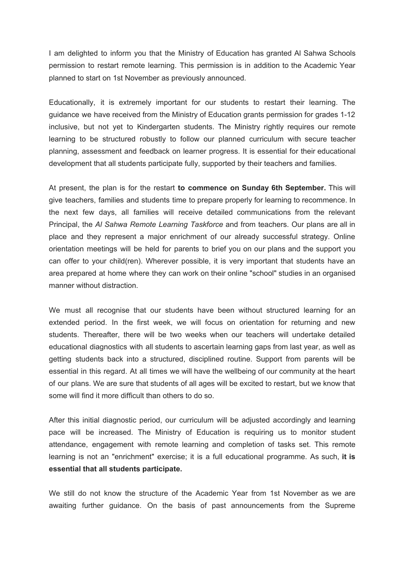I am delighted to inform you that the Ministry of Education has granted Al Sahwa Schools permission to restart remote learning. This permission is in addition to the Academic Year planned to start on 1st November as previously announced.

Educationally, it is extremely important for our students to restart their learning. The guidance we have received from the Ministry of Education grants permission for grades 1-12 inclusive, but not yet to Kindergarten students. The Ministry rightly requires our remote learning to be structured robustly to follow our planned curriculum with secure teacher planning, assessment and feedback on learner progress. It is essential for their educational development that all students participate fully, supported by their teachers and families.

At present, the plan is for the restart **to commence on Sunday 6th September.** This will give teachers, families and students time to prepare properly for learning to recommence. In the next few days, all families will receive detailed communications from the relevant Principal, the *Al Sahwa Remote Learning Taskforce* and from teachers. Our plans are all in place and they represent a major enrichment of our already successful strategy. Online orientation meetings will be held for parents to brief you on our plans and the support you can offer to your child(ren). Wherever possible, it is very important that students have an area prepared at home where they can work on their online "school" studies in an organised manner without distraction.

We must all recognise that our students have been without structured learning for an extended period. In the first week, we will focus on orientation for returning and new students. Thereafter, there will be two weeks when our teachers will undertake detailed educational diagnostics with all students to ascertain learning gaps from last year, as well as getting students back into a structured, disciplined routine. Support from parents will be essential in this regard. At all times we will have the wellbeing of our community at the heart of our plans. We are sure that students of all ages will be excited to restart, but we know that some will find it more difficult than others to do so.

After this initial diagnostic period, our curriculum will be adjusted accordingly and learning pace will be increased. The Ministry of Education is requiring us to monitor student attendance, engagement with remote learning and completion of tasks set. This remote learning is not an "enrichment" exercise; it is a full educational programme. As such, **it is essential that all students participate.**

We still do not know the structure of the Academic Year from 1st November as we are awaiting further guidance. On the basis of past announcements from the Supreme